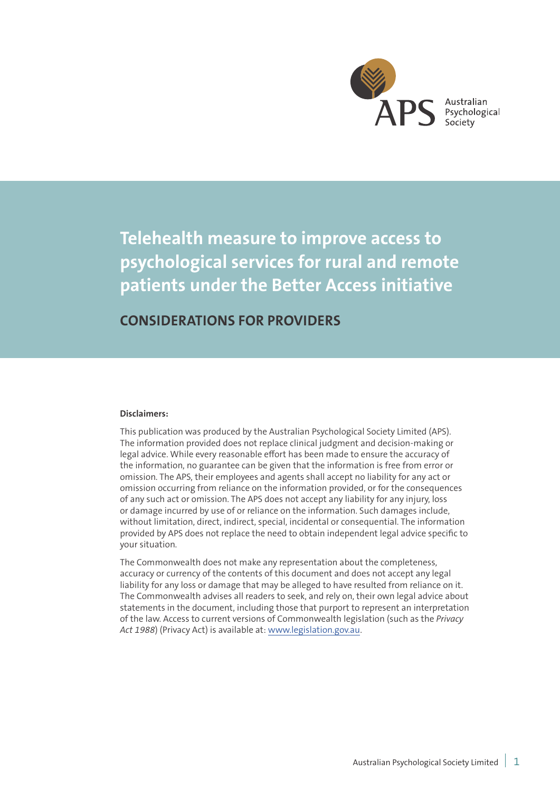

Australian Psychological Society

**Telehealth measure to improve access to psychological services for rural and remote patients under the Better Access initiative**

# **CONSIDERATIONS FOR PROVIDERS**

#### **Disclaimers:**

This publication was produced by the Australian Psychological Society Limited (APS). The information provided does not replace clinical judgment and decision-making or legal advice. While every reasonable effort has been made to ensure the accuracy of the information, no guarantee can be given that the information is free from error or omission. The APS, their employees and agents shall accept no liability for any act or omission occurring from reliance on the information provided, or for the consequences of any such act or omission. The APS does not accept any liability for any injury, loss or damage incurred by use of or reliance on the information. Such damages include, without limitation, direct, indirect, special, incidental or consequential. The information provided by APS does not replace the need to obtain independent legal advice specific to your situation.

The Commonwealth does not make any representation about the completeness, accuracy or currency of the contents of this document and does not accept any legal liability for any loss or damage that may be alleged to have resulted from reliance on it. The Commonwealth advises all readers to seek, and rely on, their own legal advice about statements in the document, including those that purport to represent an interpretation of the law. Access to current versions of Commonwealth legislation (such as the *Privacy Act 1988*) (Privacy Act) is available at: www.legislation.gov.au.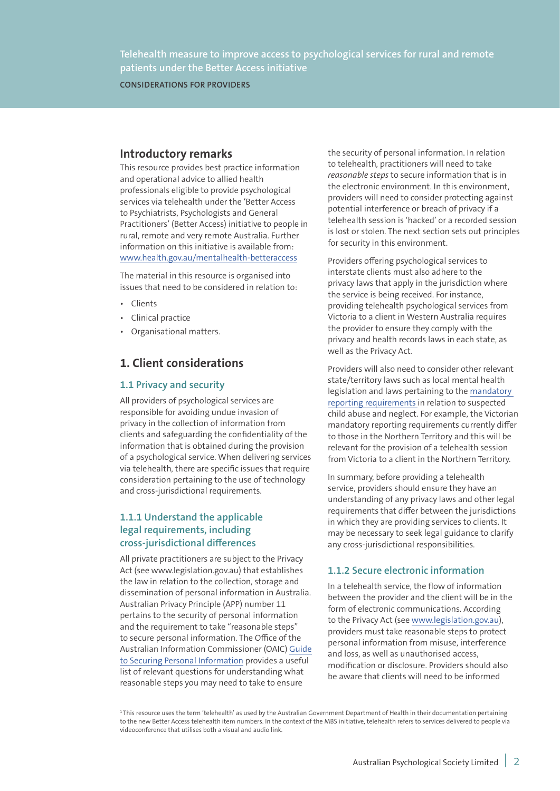**CONSIDERATIONS FOR PROVIDERS**

## **Introductory remarks**

This resource provides best practice information and operational advice to allied health professionals eligible to provide psychological services via telehealth under the 'Better Access to Psychiatrists, Psychologists and General Practitioners' (Better Access) initiative to people in rural, remote and very remote Australia. Further information on this initiative is available from: www.health.gov.au/mentalhealth-betteraccess

The material in this resource is organised into issues that need to be considered in relation to:

- Clients
- Clinical practice
- Organisational matters.

## **1. Client considerations**

### **1.1 Privacy and security**

All providers of psychological services are responsible for avoiding undue invasion of privacy in the collection of information from clients and safeguarding the confidentiality of the information that is obtained during the provision of a psychological service. When delivering services via telehealth, there are specific issues that require consideration pertaining to the use of technology and cross-jurisdictional requirements.

## **1.1.1 Understand the applicable legal requirements, including cross-jurisdictional differences**

All private practitioners are subject to the Privacy Act (see www.legislation.gov.au) that establishes the law in relation to the collection, storage and dissemination of personal information in Australia. Australian Privacy Principle (APP) number 11 pertains to the security of personal information and the requirement to take "reasonable steps" to secure personal information. The Office of the Australian Information Commissioner (OAIC) Guide to Securing Personal Information provides a useful list of relevant questions for understanding what reasonable steps you may need to take to ensure

the security of personal information. In relation to telehealth, practitioners will need to take *reasonable steps* to secure information that is in the electronic environment. In this environment, providers will need to consider protecting against potential interference or breach of privacy if a telehealth session is 'hacked' or a recorded session is lost or stolen. The next section sets out principles for security in this environment.

Providers offering psychological services to interstate clients must also adhere to the privacy laws that apply in the jurisdiction where the service is being received. For instance, providing telehealth psychological services from Victoria to a client in Western Australia requires the provider to ensure they comply with the privacy and health records laws in each state, as well as the Privacy Act.

Providers will also need to consider other relevant state/territory laws such as local mental health legislation and laws pertaining to the mandatory reporting requirements in relation to suspected child abuse and neglect. For example, the Victorian mandatory reporting requirements currently differ to those in the Northern Territory and this will be relevant for the provision of a telehealth session from Victoria to a client in the Northern Territory.

In summary, before providing a telehealth service, providers should ensure they have an understanding of any privacy laws and other legal requirements that differ between the jurisdictions in which they are providing services to clients. It may be necessary to seek legal guidance to clarify any cross-jurisdictional responsibilities.

## **1.1.2 Secure electronic information**

In a telehealth service, the flow of information between the provider and the client will be in the form of electronic communications. According to the Privacy Act (see www.legislation.gov.au), providers must take reasonable steps to protect personal information from misuse, interference and loss, as well as unauthorised access, modification or disclosure. Providers should also be aware that clients will need to be informed

<sup>&</sup>lt;sup>1</sup>This resource uses the term 'telehealth' as used by the Australian Government Department of Health in their documentation pertaining to the new Better Access telehealth item numbers. In the context of the MBS initiative, telehealth refers to services delivered to people via videoconference that utilises both a visual and audio link.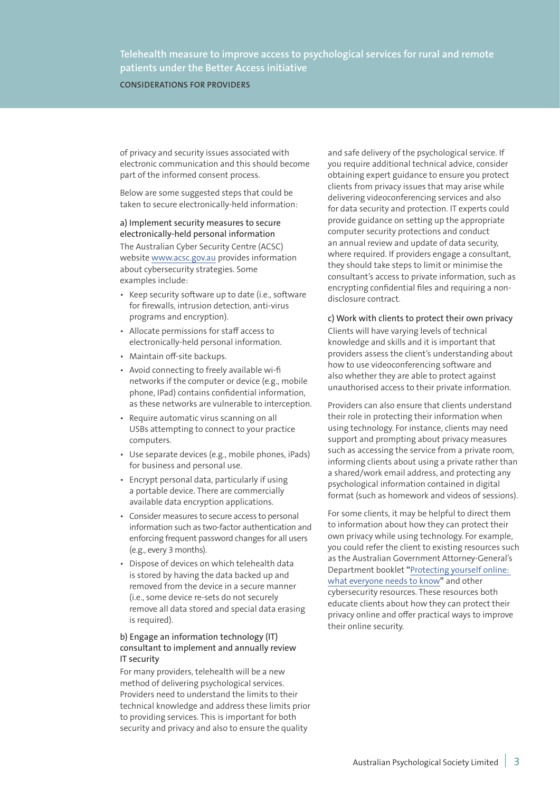**CONSIDERATIONS FOR PROVIDERS**

of privacy and security issues associated with electronic communication and this should become part of the informed consent process.

Below are some suggested steps that could be taken to secure electronically-held information:

a) Implement security measures to secure electronically-held personal information The Australian Cyber Security Centre (ACSC) website www.acsc.gov.au provides information about cybersecurity strategies. Some examples include:

- Keep security software up to date (i.e., software for firewalls, intrusion detection, anti-virus programs and encryption).
- Allocate permissions for staff access to electronically-held personal information.
- Maintain off-site backups.
- Avoid connecting to freely available wi-fi networks if the computer or device (e.g., mobile phone, IPad) contains confidential information, as these networks are vulnerable to interception.
- Require automatic virus scanning on all USBs attempting to connect to your practice computers.
- Use separate devices (e.g., mobile phones, iPads) for business and personal use.
- Encrypt personal data, particularly if using a portable device. There are commercially available data encryption applications.
- Consider measures to secure access to personal information such as two-factor authentication and enforcing frequent password changes for all users (e.g., every 3 months).
- Dispose of devices on which telehealth data is stored by having the data backed up and removed from the device in a secure manner (i.e., some device re-sets do not securely remove all data stored and special data erasing is required).

### b) Engage an information technology (IT) consultant to implement and annually review IT security

For many providers, telehealth will be a new method of delivering psychological services. Providers need to understand the limits to their technical knowledge and address these limits prior to providing services. This is important for both security and privacy and also to ensure the quality

and safe delivery of the psychological service. If you require additional technical advice, consider obtaining expert guidance to ensure you protect clients from privacy issues that may arise while delivering videoconferencing services and also for data security and protection. IT experts could provide guidance on setting up the appropriate computer security protections and conduct an annual review and update of data security, where required. If providers engage a consultant, they should take steps to limit or minimise the consultant's access to private information, such as encrypting confidential files and requiring a nondisclosure contract.

### c) Work with clients to protect their own privacy Clients will have varying levels of technical knowledge and skills and it is important that providers assess the client's understanding about how to use videoconferencing software and

also whether they are able to protect against unauthorised access to their private information.

Providers can also ensure that clients understand their role in protecting their information when using technology. For instance, clients may need support and prompting about privacy measures such as accessing the service from a private room, informing clients about using a private rather than a shared/work email address, and protecting any psychological information contained in digital format (such as homework and videos of sessions).

For some clients, it may be helpful to direct them to information about how they can protect their own privacy while using technology. For example, you could refer the client to existing resources such as the Australian Government Attorney-General's Department booklet **"**Protecting yourself online: what everyone needs to know**"** and other cybersecurity resources. These resources both educate clients about how they can protect their privacy online and offer practical ways to improve their online security.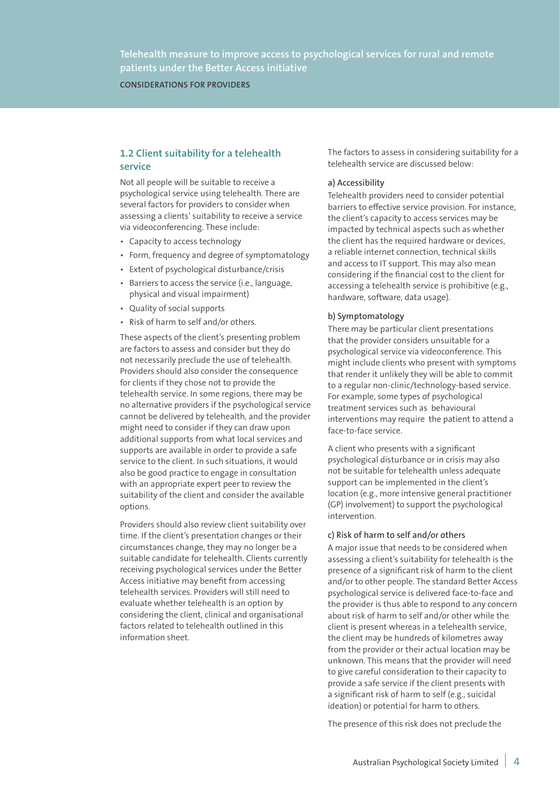**CONSIDERATIONS FOR PROVIDERS**

## **1.2 Client suitability for a telehealth service**

Not all people will be suitable to receive a psychological service using telehealth. There are several factors for providers to consider when assessing a clients' suitability to receive a service via videoconferencing. These include:

- Capacity to access technology
- Form, frequency and degree of symptomatology
- Extent of psychological disturbance/crisis
- Barriers to access the service (i.e., language, physical and visual impairment)
- Quality of social supports
- Risk of harm to self and/or others.

These aspects of the client's presenting problem are factors to assess and consider but they do not necessarily preclude the use of telehealth. Providers should also consider the consequence for clients if they chose not to provide the telehealth service. In some regions, there may be no alternative providers if the psychological service cannot be delivered by telehealth, and the provider might need to consider if they can draw upon additional supports from what local services and supports are available in order to provide a safe service to the client. In such situations, it would also be good practice to engage in consultation with an appropriate expert peer to review the suitability of the client and consider the available options.

Providers should also review client suitability over time. If the client's presentation changes or their circumstances change, they may no longer be a suitable candidate for telehealth. Clients currently receiving psychological services under the Better Access initiative may benefit from accessing telehealth services. Providers will still need to evaluate whether telehealth is an option by considering the client, clinical and organisational factors related to telehealth outlined in this information sheet.

The factors to assess in considering suitability for a telehealth service are discussed below:

### a) Accessibility

Telehealth providers need to consider potential barriers to effective service provision. For instance, the client's capacity to access services may be impacted by technical aspects such as whether the client has the required hardware or devices, a reliable internet connection, technical skills and access to IT support. This may also mean considering if the financial cost to the client for accessing a telehealth service is prohibitive (e.g., hardware, software, data usage).

#### b) Symptomatology

There may be particular client presentations that the provider considers unsuitable for a psychological service via videoconference. This might include clients who present with symptoms that render it unlikely they will be able to commit to a regular non-clinic/technology-based service. For example, some types of psychological treatment services such as behavioural interventions may require the patient to attend a face-to-face service.

A client who presents with a significant psychological disturbance or in crisis may also not be suitable for telehealth unless adequate support can be implemented in the client's location (e.g., more intensive general practitioner (GP) involvement) to support the psychological intervention.

#### c) Risk of harm to self and/or others

A major issue that needs to be considered when assessing a client's suitability for telehealth is the presence of a significant risk of harm to the client and/or to other people. The standard Better Access psychological service is delivered face-to-face and the provider is thus able to respond to any concern about risk of harm to self and/or other while the client is present whereas in a telehealth service, the client may be hundreds of kilometres away from the provider or their actual location may be unknown. This means that the provider will need to give careful consideration to their capacity to provide a safe service if the client presents with a significant risk of harm to self (e.g., suicidal ideation) or potential for harm to others.

The presence of this risk does not preclude the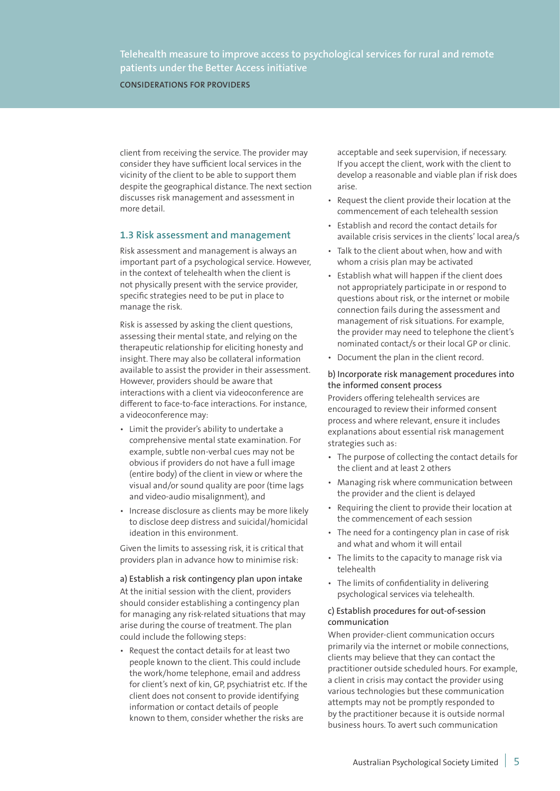**CONSIDERATIONS FOR PROVIDERS**

client from receiving the service. The provider may consider they have sufficient local services in the vicinity of the client to be able to support them despite the geographical distance. The next section discusses risk management and assessment in more detail.

## **1.3 Risk assessment and management**

Risk assessment and management is always an important part of a psychological service. However, in the context of telehealth when the client is not physically present with the service provider, specific strategies need to be put in place to manage the risk.

Risk is assessed by asking the client questions, assessing their mental state, and relying on the therapeutic relationship for eliciting honesty and insight. There may also be collateral information available to assist the provider in their assessment. However, providers should be aware that interactions with a client via videoconference are different to face-to-face interactions. For instance, a videoconference may:

- Limit the provider's ability to undertake a comprehensive mental state examination. For example, subtle non-verbal cues may not be obvious if providers do not have a full image (entire body) of the client in view or where the visual and/or sound quality are poor (time lags and video-audio misalignment), and
- Increase disclosure as clients may be more likely to disclose deep distress and suicidal/homicidal ideation in this environment.

Given the limits to assessing risk, it is critical that providers plan in advance how to minimise risk:

a) Establish a risk contingency plan upon intake At the initial session with the client, providers should consider establishing a contingency plan for managing any risk-related situations that may arise during the course of treatment. The plan could include the following steps:

• Request the contact details for at least two people known to the client. This could include the work/home telephone, email and address for client's next of kin, GP, psychiatrist etc. If the client does not consent to provide identifying information or contact details of people known to them, consider whether the risks are

acceptable and seek supervision, if necessary. If you accept the client, work with the client to develop a reasonable and viable plan if risk does arise.

- Request the client provide their location at the commencement of each telehealth session
- Establish and record the contact details for available crisis services in the clients' local area/s
- Talk to the client about when, how and with whom a crisis plan may be activated
- Establish what will happen if the client does not appropriately participate in or respond to questions about risk, or the internet or mobile connection fails during the assessment and management of risk situations. For example, the provider may need to telephone the client's nominated contact/s or their local GP or clinic.
- Document the plan in the client record.

#### b) Incorporate risk management procedures into the informed consent process

Providers offering telehealth services are encouraged to review their informed consent process and where relevant, ensure it includes explanations about essential risk management strategies such as:

- The purpose of collecting the contact details for the client and at least 2 others
- Managing risk where communication between the provider and the client is delayed
- Requiring the client to provide their location at the commencement of each session
- The need for a contingency plan in case of risk and what and whom it will entail
- The limits to the capacity to manage risk via telehealth
- The limits of confidentiality in delivering psychological services via telehealth.

#### c) Establish procedures for out-of-session communication

When provider-client communication occurs primarily via the internet or mobile connections, clients may believe that they can contact the practitioner outside scheduled hours. For example, a client in crisis may contact the provider using various technologies but these communication attempts may not be promptly responded to by the practitioner because it is outside normal business hours. To avert such communication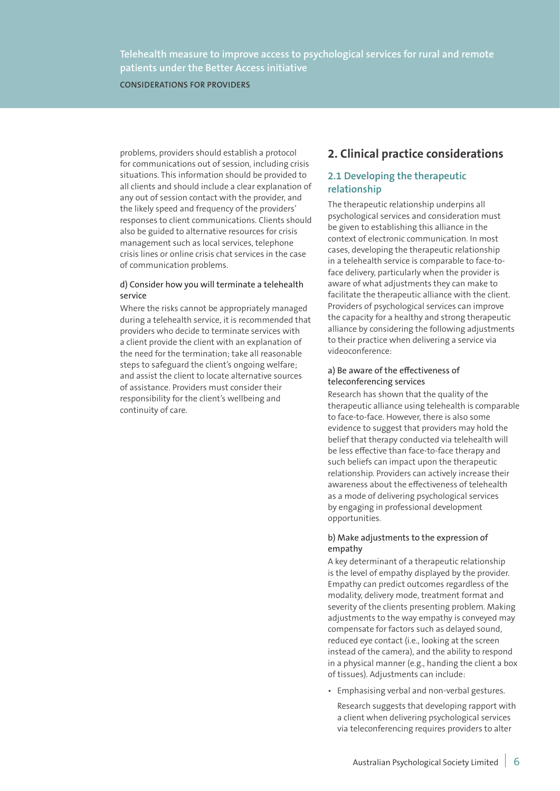**CONSIDERATIONS FOR PROVIDERS**

problems, providers should establish a protocol for communications out of session, including crisis situations. This information should be provided to all clients and should include a clear explanation of any out of session contact with the provider, and the likely speed and frequency of the providers' responses to client communications. Clients should also be guided to alternative resources for crisis management such as local services, telephone crisis lines or online crisis chat services in the case of communication problems.

#### d) Consider how you will terminate a telehealth service

Where the risks cannot be appropriately managed during a telehealth service, it is recommended that providers who decide to terminate services with a client provide the client with an explanation of the need for the termination; take all reasonable steps to safeguard the client's ongoing welfare; and assist the client to locate alternative sources of assistance. Providers must consider their responsibility for the client's wellbeing and continuity of care.

# **2. Clinical practice considerations**

## **2.1 Developing the therapeutic relationship**

The therapeutic relationship underpins all psychological services and consideration must be given to establishing this alliance in the context of electronic communication. In most cases, developing the therapeutic relationship in a telehealth service is comparable to face-toface delivery, particularly when the provider is aware of what adjustments they can make to facilitate the therapeutic alliance with the client. Providers of psychological services can improve the capacity for a healthy and strong therapeutic alliance by considering the following adjustments to their practice when delivering a service via videoconference:

### a) Be aware of the effectiveness of teleconferencing services

Research has shown that the quality of the therapeutic alliance using telehealth is comparable to face-to-face. However, there is also some evidence to suggest that providers may hold the belief that therapy conducted via telehealth will be less effective than face-to-face therapy and such beliefs can impact upon the therapeutic relationship. Providers can actively increase their awareness about the effectiveness of telehealth as a mode of delivering psychological services by engaging in professional development opportunities.

#### b) Make adjustments to the expression of empathy

A key determinant of a therapeutic relationship is the level of empathy displayed by the provider. Empathy can predict outcomes regardless of the modality, delivery mode, treatment format and severity of the clients presenting problem. Making adjustments to the way empathy is conveyed may compensate for factors such as delayed sound, reduced eye contact (i.e., looking at the screen instead of the camera), and the ability to respond in a physical manner (e.g., handing the client a box of tissues). Adjustments can include:

• Emphasising verbal and non-verbal gestures.

Research suggests that developing rapport with a client when delivering psychological services via teleconferencing requires providers to alter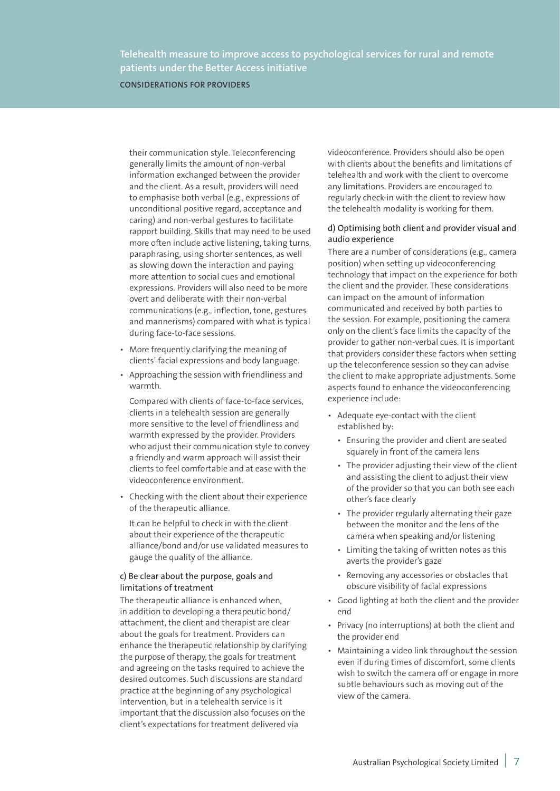**CONSIDERATIONS FOR PROVIDERS**

their communication style. Teleconferencing generally limits the amount of non-verbal information exchanged between the provider and the client. As a result, providers will need to emphasise both verbal (e.g., expressions of unconditional positive regard, acceptance and caring) and non-verbal gestures to facilitate rapport building. Skills that may need to be used more often include active listening, taking turns, paraphrasing, using shorter sentences, as well as slowing down the interaction and paying more attention to social cues and emotional expressions. Providers will also need to be more overt and deliberate with their non-verbal communications (e.g., inflection, tone, gestures and mannerisms) compared with what is typical during face-to-face sessions.

- More frequently clarifying the meaning of clients' facial expressions and body language.
- Approaching the session with friendliness and warmth.

Compared with clients of face-to-face services, clients in a telehealth session are generally more sensitive to the level of friendliness and warmth expressed by the provider. Providers who adjust their communication style to convey a friendly and warm approach will assist their clients to feel comfortable and at ease with the videoconference environment.

• Checking with the client about their experience of the therapeutic alliance.

It can be helpful to check in with the client about their experience of the therapeutic alliance/bond and/or use validated measures to gauge the quality of the alliance.

#### c) Be clear about the purpose, goals and limitations of treatment

The therapeutic alliance is enhanced when, in addition to developing a therapeutic bond/ attachment, the client and therapist are clear about the goals for treatment. Providers can enhance the therapeutic relationship by clarifying the purpose of therapy, the goals for treatment and agreeing on the tasks required to achieve the desired outcomes. Such discussions are standard practice at the beginning of any psychological intervention, but in a telehealth service is it important that the discussion also focuses on the client's expectations for treatment delivered via

videoconference. Providers should also be open with clients about the benefits and limitations of telehealth and work with the client to overcome any limitations. Providers are encouraged to regularly check-in with the client to review how the telehealth modality is working for them.

#### d) Optimising both client and provider visual and audio experience

There are a number of considerations (e.g., camera position) when setting up videoconferencing technology that impact on the experience for both the client and the provider. These considerations can impact on the amount of information communicated and received by both parties to the session. For example, positioning the camera only on the client's face limits the capacity of the provider to gather non-verbal cues. It is important that providers consider these factors when setting up the teleconference session so they can advise the client to make appropriate adjustments. Some aspects found to enhance the videoconferencing experience include:

- Adequate eye-contact with the client established by:
	- Ensuring the provider and client are seated squarely in front of the camera lens
	- The provider adjusting their view of the client and assisting the client to adjust their view of the provider so that you can both see each other's face clearly
	- The provider regularly alternating their gaze between the monitor and the lens of the camera when speaking and/or listening
	- Limiting the taking of written notes as this averts the provider's gaze
	- Removing any accessories or obstacles that obscure visibility of facial expressions
- Good lighting at both the client and the provider end
- Privacy (no interruptions) at both the client and the provider end
- Maintaining a video link throughout the session even if during times of discomfort, some clients wish to switch the camera off or engage in more subtle behaviours such as moving out of the view of the camera.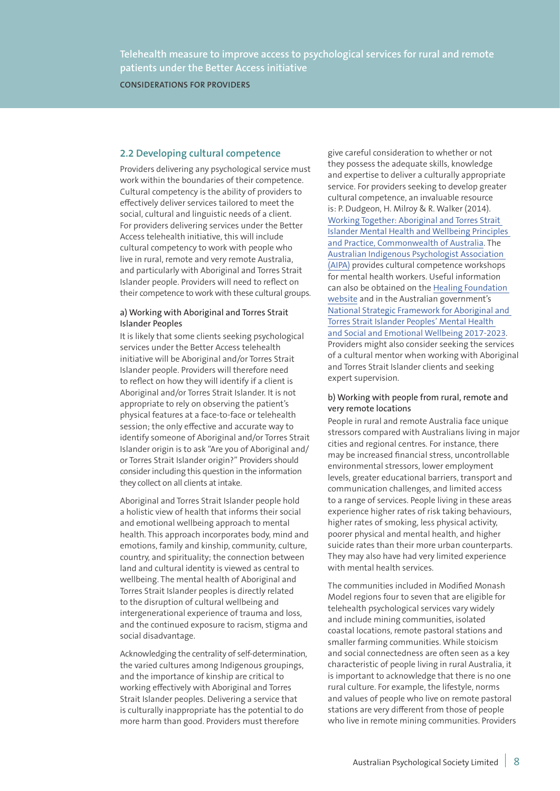**CONSIDERATIONS FOR PROVIDERS**

### **2.2 Developing cultural competence**

Providers delivering any psychological service must work within the boundaries of their competence. Cultural competency is the ability of providers to effectively deliver services tailored to meet the social, cultural and linguistic needs of a client. For providers delivering services under the Better Access telehealth initiative, this will include cultural competency to work with people who live in rural, remote and very remote Australia, and particularly with Aboriginal and Torres Strait Islander people. Providers will need to reflect on their competence to work with these cultural groups.

#### a) Working with Aboriginal and Torres Strait Islander Peoples

It is likely that some clients seeking psychological services under the Better Access telehealth initiative will be Aboriginal and/or Torres Strait Islander people. Providers will therefore need to reflect on how they will identify if a client is Aboriginal and/or Torres Strait Islander. It is not appropriate to rely on observing the patient's physical features at a face-to-face or telehealth session; the only effective and accurate way to identify someone of Aboriginal and/or Torres Strait Islander origin is to ask "Are you of Aboriginal and/ or Torres Strait Islander origin?" Providers should consider including this question in the information they collect on all clients at intake.

Aboriginal and Torres Strait Islander people hold a holistic view of health that informs their social and emotional wellbeing approach to mental health. This approach incorporates body, mind and emotions, family and kinship, community, culture, country, and spirituality; the connection between land and cultural identity is viewed as central to wellbeing. The mental health of Aboriginal and Torres Strait Islander peoples is directly related to the disruption of cultural wellbeing and intergenerational experience of trauma and loss, and the continued exposure to racism, stigma and social disadvantage.

Acknowledging the centrality of self-determination, the varied cultures among Indigenous groupings, and the importance of kinship are critical to working effectively with Aboriginal and Torres Strait Islander peoples. Delivering a service that is culturally inappropriate has the potential to do more harm than good. Providers must therefore

give careful consideration to whether or not they possess the adequate skills, knowledge and expertise to deliver a culturally appropriate service. For providers seeking to develop greater cultural competence, an invaluable resource is: P. Dudgeon, H. Milroy & R. Walker (2014). Working Together: Aboriginal and Torres Strait Islander Mental Health and Wellbeing Principles and Practice, Commonwealth of Australia. The Australian Indigenous Psychologist Association (AIPA) provides cultural competence workshops for mental health workers. Useful information can also be obtained on the Healing Foundation website and in the Australian government's National Strategic Framework for Aboriginal and Torres Strait Islander Peoples' Mental Health and Social and Emotional Wellbeing 2017-2023. Providers might also consider seeking the services of a cultural mentor when working with Aboriginal and Torres Strait Islander clients and seeking expert supervision.

#### b) Working with people from rural, remote and very remote locations

People in rural and remote Australia face unique stressors compared with Australians living in major cities and regional centres. For instance, there may be increased financial stress, uncontrollable environmental stressors, lower employment levels, greater educational barriers, transport and communication challenges, and limited access to a range of services. People living in these areas experience higher rates of risk taking behaviours, higher rates of smoking, less physical activity, poorer physical and mental health, and higher suicide rates than their more urban counterparts. They may also have had very limited experience with mental health services.

The communities included in Modified Monash Model regions four to seven that are eligible for telehealth psychological services vary widely and include mining communities, isolated coastal locations, remote pastoral stations and smaller farming communities. While stoicism and social connectedness are often seen as a key characteristic of people living in rural Australia, it is important to acknowledge that there is no one rural culture. For example, the lifestyle, norms and values of people who live on remote pastoral stations are very different from those of people who live in remote mining communities. Providers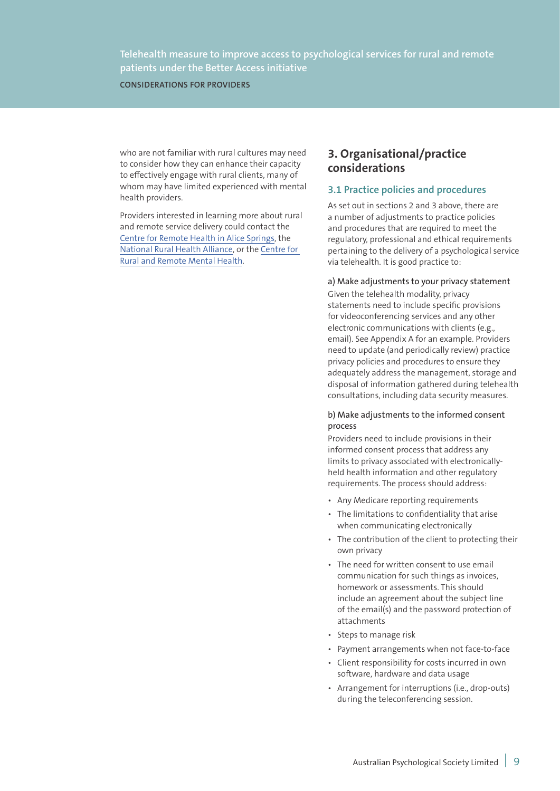**CONSIDERATIONS FOR PROVIDERS**

who are not familiar with rural cultures may need to consider how they can enhance their capacity to effectively engage with rural clients, many of whom may have limited experienced with mental health providers.

Providers interested in learning more about rural and remote service delivery could contact the Centre for Remote Health in Alice Springs, the National Rural Health Alliance, or the Centre for Rural and Remote Mental Health.

## **3. Organisational/practice considerations**

## **3.1 Practice policies and procedures**

As set out in sections 2 and 3 above, there are a number of adjustments to practice policies and procedures that are required to meet the regulatory, professional and ethical requirements pertaining to the delivery of a psychological service via telehealth. It is good practice to:

#### a) Make adjustments to your privacy statement

Given the telehealth modality, privacy statements need to include specific provisions for videoconferencing services and any other electronic communications with clients (e.g., email). See Appendix A for an example. Providers need to update (and periodically review) practice privacy policies and procedures to ensure they adequately address the management, storage and disposal of information gathered during telehealth consultations, including data security measures.

#### b) Make adjustments to the informed consent process

Providers need to include provisions in their informed consent process that address any limits to privacy associated with electronicallyheld health information and other regulatory requirements. The process should address:

- Any Medicare reporting requirements
- The limitations to confidentiality that arise when communicating electronically
- The contribution of the client to protecting their own privacy
- The need for written consent to use email communication for such things as invoices, homework or assessments. This should include an agreement about the subject line of the email(s) and the password protection of attachments
- Steps to manage risk
- Payment arrangements when not face-to-face
- Client responsibility for costs incurred in own software, hardware and data usage
- Arrangement for interruptions (i.e., drop-outs) during the teleconferencing session.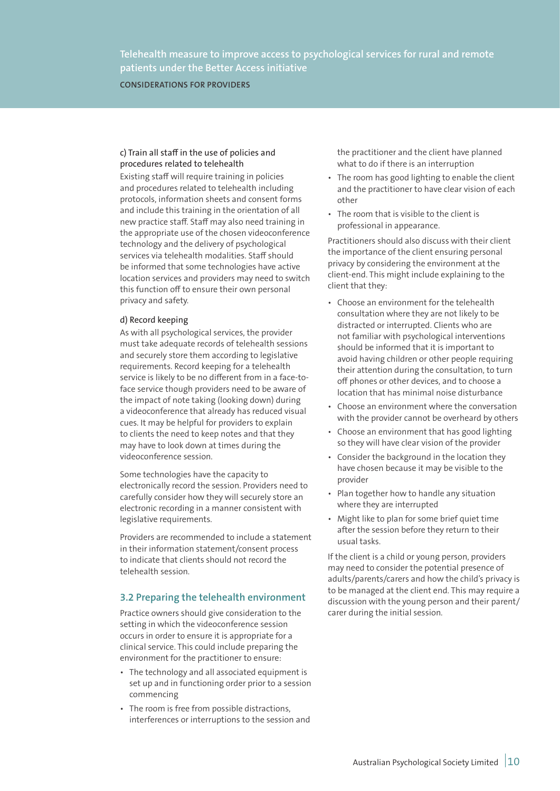**CONSIDERATIONS FOR PROVIDERS**

### c) Train all staff in the use of policies and procedures related to telehealth

Existing staff will require training in policies and procedures related to telehealth including protocols, information sheets and consent forms and include this training in the orientation of all new practice staff. Staff may also need training in the appropriate use of the chosen videoconference technology and the delivery of psychological services via telehealth modalities. Staff should be informed that some technologies have active location services and providers may need to switch this function off to ensure their own personal privacy and safety.

#### d) Record keeping

As with all psychological services, the provider must take adequate records of telehealth sessions and securely store them according to legislative requirements. Record keeping for a telehealth service is likely to be no different from in a face-toface service though providers need to be aware of the impact of note taking (looking down) during a videoconference that already has reduced visual cues. It may be helpful for providers to explain to clients the need to keep notes and that they may have to look down at times during the videoconference session.

Some technologies have the capacity to electronically record the session. Providers need to carefully consider how they will securely store an electronic recording in a manner consistent with legislative requirements.

Providers are recommended to include a statement in their information statement/consent process to indicate that clients should not record the telehealth session.

## **3.2 Preparing the telehealth environment**

Practice owners should give consideration to the setting in which the videoconference session occurs in order to ensure it is appropriate for a clinical service. This could include preparing the environment for the practitioner to ensure:

- The technology and all associated equipment is set up and in functioning order prior to a session commencing
- The room is free from possible distractions, interferences or interruptions to the session and

the practitioner and the client have planned what to do if there is an interruption

- The room has good lighting to enable the client and the practitioner to have clear vision of each other
- The room that is visible to the client is professional in appearance.

Practitioners should also discuss with their client the importance of the client ensuring personal privacy by considering the environment at the client-end. This might include explaining to the client that they:

- Choose an environment for the telehealth consultation where they are not likely to be distracted or interrupted. Clients who are not familiar with psychological interventions should be informed that it is important to avoid having children or other people requiring their attention during the consultation, to turn off phones or other devices, and to choose a location that has minimal noise disturbance
- Choose an environment where the conversation with the provider cannot be overheard by others
- Choose an environment that has good lighting so they will have clear vision of the provider
- Consider the background in the location they have chosen because it may be visible to the provider
- Plan together how to handle any situation where they are interrupted
- Might like to plan for some brief quiet time after the session before they return to their usual tasks.

If the client is a child or young person, providers may need to consider the potential presence of adults/parents/carers and how the child's privacy is to be managed at the client end. This may require a discussion with the young person and their parent/ carer during the initial session.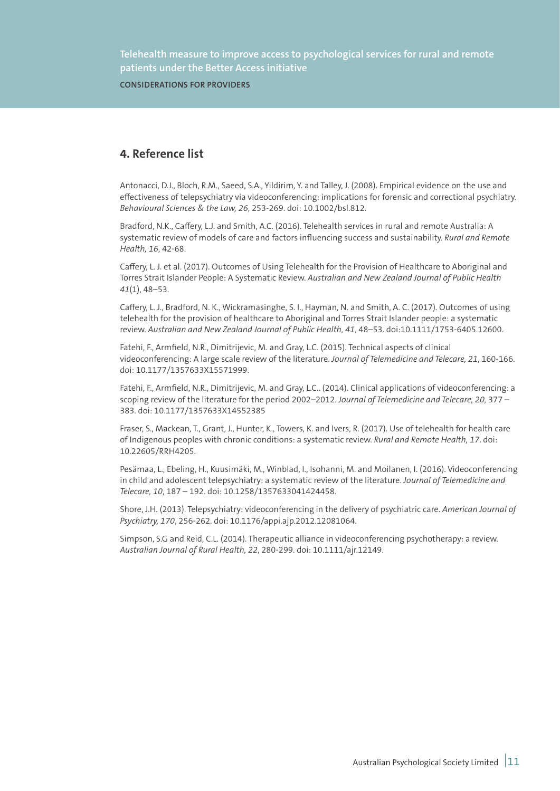**CONSIDERATIONS FOR PROVIDERS**

## **4. Reference list**

Antonacci, D.J., Bloch, R.M., Saeed, S.A., Yildirim, Y. and Talley, J. (2008). Empirical evidence on the use and effectiveness of telepsychiatry via videoconferencing: implications for forensic and correctional psychiatry. *Behavioural Sciences & the Law, 26*, 253-269. doi: 10.1002/bsl.812.

Bradford, N.K., Caffery, L.J. and Smith, A.C. (2016). Telehealth services in rural and remote Australia: A systematic review of models of care and factors influencing success and sustainability. *Rural and Remote Health, 16*, 42-68.

Caffery, L. J. et al. (2017). Outcomes of Using Telehealth for the Provision of Healthcare to Aboriginal and Torres Strait Islander People: A Systematic Review. *Australian and New Zealand Journal of Public Health 41*(1), 48–53.

Caffery, L. J., Bradford, N. K., Wickramasinghe, S. I., Hayman, N. and Smith, A. C. (2017). Outcomes of using telehealth for the provision of healthcare to Aboriginal and Torres Strait Islander people: a systematic review. *Australian and New Zealand Journal of Public Health, 41*, 48–53. doi:10.1111/1753-6405.12600.

Fatehi, F., Armfield, N.R., Dimitrijevic, M. and Gray, L.C. (2015). Technical aspects of clinical videoconferencing: A large scale review of the literature. *Journal of Telemedicine and Telecare, 21*, 160-166. doi: 10.1177/1357633X15571999.

Fatehi, F., Armfield, N.R., Dimitrijevic, M. and Gray, L.C.. (2014). Clinical applications of videoconferencing: a scoping review of the literature for the period 2002–2012. *Journal of Telemedicine and Telecare, 20,* 377 – 383. doi: 10.1177/1357633X14552385

Fraser, S., Mackean, T., Grant, J., Hunter, K., Towers, K. and Ivers, R. (2017). Use of telehealth for health care of Indigenous peoples with chronic conditions: a systematic review. *Rural and Remote Health, 17*. doi: 10.22605/RRH4205.

Pesämaa, L., Ebeling, H., Kuusimäki, M., Winblad, I., Isohanni, M. and Moilanen, I. (2016). Videoconferencing in child and adolescent telepsychiatry: a systematic review of the literature. *Journal of Telemedicine and Telecare, 10*, 187 – 192. doi: 10.1258/1357633041424458.

Shore, J.H. (2013). Telepsychiatry: videoconferencing in the delivery of psychiatric care. *American Journal of Psychiatry, 170*, 256-262. doi: 10.1176/appi.ajp.2012.12081064.

Simpson, S.G and Reid, C.L. (2014). Therapeutic alliance in videoconferencing psychotherapy: a review. *Australian Journal of Rural Health, 22*, 280-299. doi: 10.1111/ajr.12149.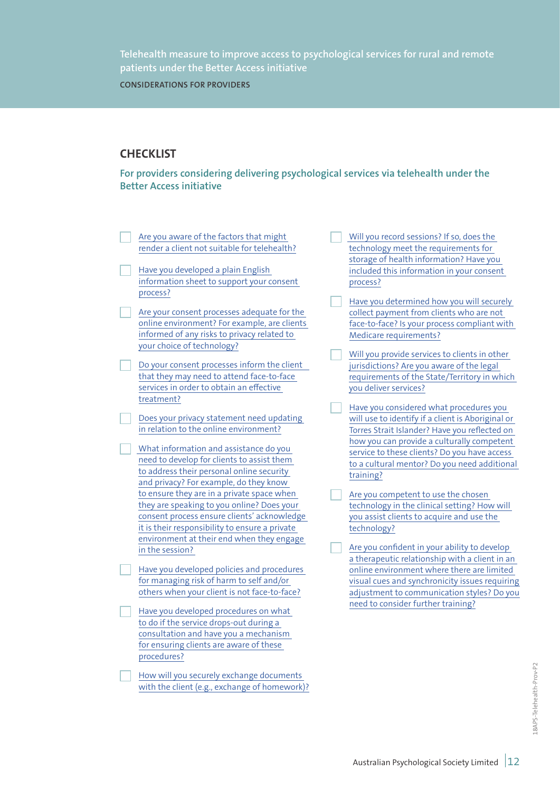**CONSIDERATIONS FOR PROVIDERS**

# **CHECKLIST**

**For providers considering delivering psychological services via telehealth under the Better Access initiative**

- Are you aware of the factors that might render a client not suitable for telehealth?
- Have you developed a plain English information sheet to support your consent process?
- Are your consent processes adequate for the online environment? For example, are clients informed of any risks to privacy related to your choice of technology?
- Do your consent processes inform the client that they may need to attend face-to-face services in order to obtain an effective treatment?
- Does your privacy statement need updating in relation to the online environment?
	- What information and assistance do you need to develop for clients to assist them to address their personal online security and privacy? For example, do they know to ensure they are in a private space when they are speaking to you online? Does your consent process ensure clients' acknowledge it is their responsibility to ensure a private environment at their end when they engage in the session?
- Have you developed policies and procedures for managing risk of harm to self and/or others when your client is not face-to-face?
- Have you developed procedures on what to do if the service drops-out during a consultation and have you a mechanism for ensuring clients are aware of these procedures?
- How will you securely exchange documents with the client (e.g., exchange of homework)?
- Will you record sessions? If so, does the technology meet the requirements for storage of health information? Have you included this information in your consent process?
- Have you determined how you will securely collect payment from clients who are not face-to-face? Is your process compliant with Medicare requirements?
- Will you provide services to clients in other jurisdictions? Are you aware of the legal requirements of the State/Territory in which you deliver services?
- Have you considered what procedures you will use to identify if a client is Aboriginal or Torres Strait Islander? Have you reflected on how you can provide a culturally competent service to these clients? Do you have access to a cultural mentor? Do you need additional training?
- Are you competent to use the chosen technology in the clinical setting? How will you assist clients to acquire and use the technology?
- Are you confident in your ability to develop a therapeutic relationship with a client in an online environment where there are limited visual cues and synchronicity issues requiring adjustment to communication styles? Do you need to consider further training?